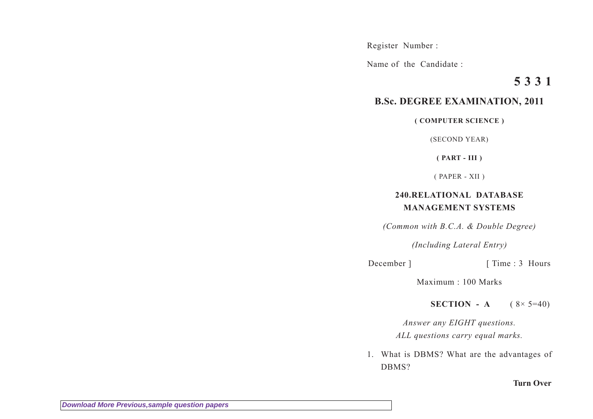Register Number :

Name of the Candidate :

## **5 3 3 1**

## **B.Sc. DEGREE EXAMINATION, 2011**

**( COMPUTER SCIENCE )**

(SECOND YEAR)

**( PART - III )**

( PAPER - XII )

## **240.RELATIONAL DATABASE MANAGEMENT SYSTEMS**

*(Common with B.C.A. & Double Degree)*

*(Including Lateral Entry)*

December ] [ Time : 3 Hours

Maximum : 100 Marks

**SECTION** - **A** ( $8 \times 5=40$ )

*Answer any EIGHT questions. ALL questions carry equal marks.*

1. What is DBMS? What are the advantages of DBMS?

**Turn Over**